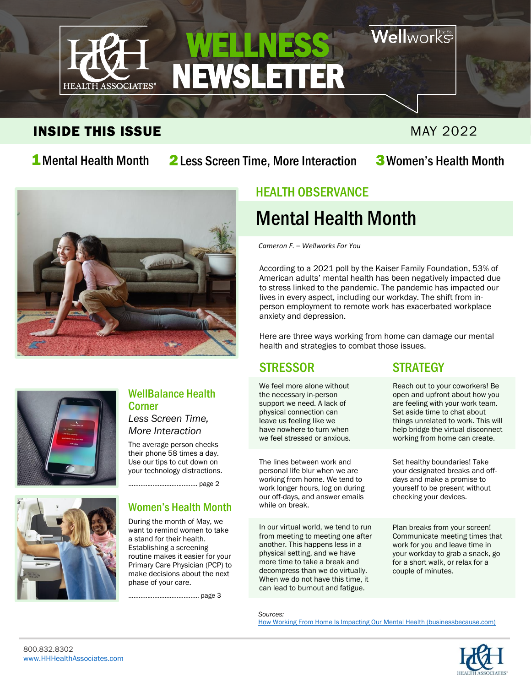

#### INSIDE THIS ISSUE And the contract of the contract of the matrix  $M$ AY 2022

**Nell**works

## 1 Mental Health Month 2 Less Screen Time, More Interaction 3 Women's Health Month



#### HEALTH OBSERVANCE

## Mental Health Month

*Cameron F. – Wellworks For You*

According to a 2021 poll by the Kaiser Family Foundation, 53% of American adults' mental health has been negatively impacted due to stress linked to the pandemic. The pandemic has impacted our lives in every aspect, including our workday. The shift from inperson employment to remote work has exacerbated workplace anxiety and depression.

Here are three ways working from home can damage our mental health and strategies to combat those issues.

#### STRESSOR STRATEGY

We feel more alone without the necessary in-person support we need. A lack of physical connection can leave us feeling like we have nowhere to turn when we feel stressed or anxious.

The lines between work and personal life blur when we are working from home. We tend to work longer hours, log on during our off-days, and answer emails while on break.

In our virtual world, we tend to run from meeting to meeting one after another. This happens less in a physical setting, and we have more time to take a break and decompress than we do virtually. When we do not have this time, it can lead to burnout and fatigue.

Reach out to your coworkers! Be open and upfront about how you are feeling with your work team. Set aside time to chat about things unrelated to work. This will help bridge the virtual disconnect working from home can create.

Set healthy boundaries! Take your designated breaks and offdays and make a promise to yourself to be present without checking your devices.

Plan breaks from your screen! Communicate meeting times that work for you and leave time in your workday to grab a snack, go for a short walk, or relax for a couple of minutes.

*Sources:* [How Working From Home Is Impacting Our Mental Health \(businessbecause.com\)](https://www.businessbecause.com/news/insights/7244/working-from-home-mental-health)





#### WellBalance Health Corner

*Less Screen Time, More Interaction*

The average person checks their phone 58 times a day. Use our tips to cut down on your technology distractions.

…………………………………. page 2



#### Women's Health Month

During the month of May, we want to remind women to take a stand for their health. Establishing a screening routine makes it easier for your Primary Care Physician (PCP) to make decisions about the next phase of your care.

………………………………….. page 3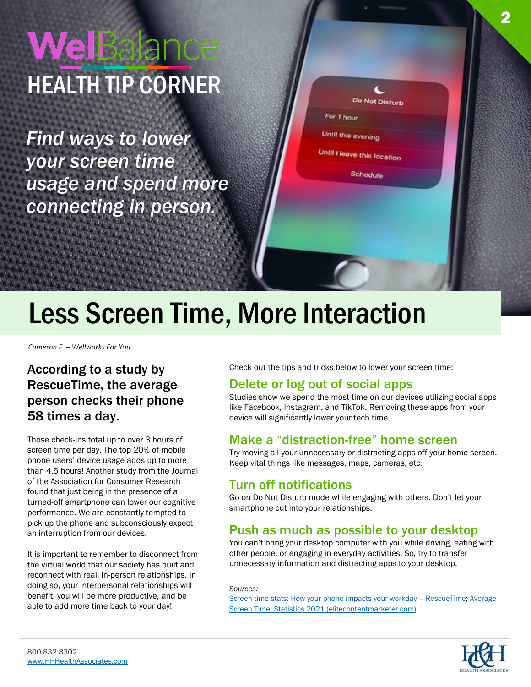# WelBala HEALTH TIP CORNER

*Find ways to lower your screen time usage and spend more connecting in person.*

| Do Not Disturb              |  |
|-----------------------------|--|
| For 1 hour                  |  |
| Until this evening          |  |
| Until I leave this location |  |
| Schedule                    |  |
|                             |  |

## Less Screen Time, More Interaction

*Cameron F. – Wellworks For You*

#### According to a study by RescueTime, the average person checks their phone 58 times a day.

Those check-ins total up to over 3 hours of screen time per day. The top 20% of mobile phone users' device usage adds up to more than 4.5 hours! Another study from the Journal of the Association for Consumer Research found that just being in the presence of a turned-off smartphone can lower our cognitive performance. We are constantly tempted to pick up the phone and subconsciously expect an interruption from our devices.

It is important to remember to disconnect from the virtual world that our society has built and reconnect with real, in-person relationships. In doing so, your interpersonal relationships will benefit, you will be more productive, and be able to add more time back to your day!

Check out the tips and tricks below to lower your screen time:

#### Delete or log out of social apps

Studies show we spend the most time on our devices utilizing social apps like Facebook, Instagram, and TikTok. Removing these apps from your device will significantly lower your tech time.

#### Make a "distraction-free" home screen

Try moving all your unnecessary or distracting apps off your home screen. Keep vital things like messages, maps, cameras, etc.

#### Turn off notifications

Go on Do Not Disturb mode while engaging with others. Don't let your smartphone cut into your relationships.

#### Push as much as possible to your desktop

You can't bring your desktop computer with you while driving, eating with other people, or engaging in everyday activities. So, try to transfer unnecessary information and distracting apps to your desktop.

#### *Sources:*

[Screen time stats: How your phone impacts your workday](https://blog.rescuetime.com/screen-time-stats-2018/) – RescueTime; [Average](https://elitecontentmarketer.com/screen-time-statistics/)  [Screen Time: Statistics 2021 \(elitecontentmarketer.com\)](https://elitecontentmarketer.com/screen-time-statistics/)

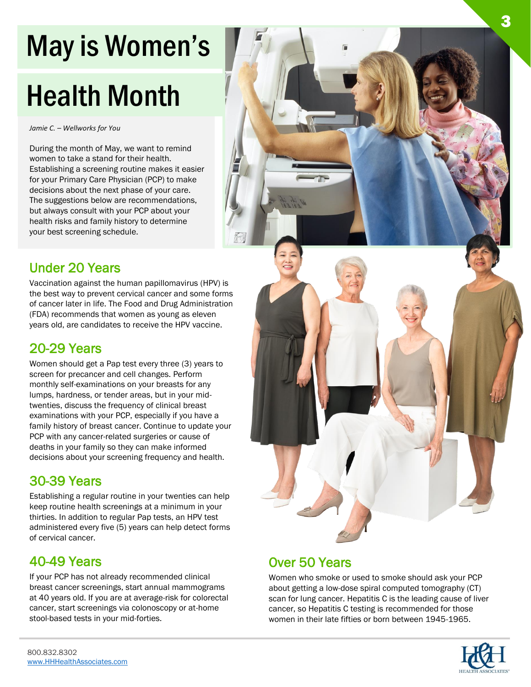# May is Women's

# Health Month

*Jamie C. – Wellworks for You*

During the month of May, we want to remind women to take a stand for their health. Establishing a screening routine makes it easier for your Primary Care Physician (PCP) to make decisions about the next phase of your care. The suggestions below are recommendations, but always consult with your PCP about your health risks and family history to determine your best screening schedule.

#### Under 20 Years

Vaccination against the human papillomavirus (HPV) is the best way to prevent cervical cancer and some forms of cancer later in life. The Food and Drug Administration (FDA) recommends that women as young as eleven years old, are candidates to receive the HPV vaccine.

#### 20-29 Years

Women should get a Pap test every three (3) years to screen for precancer and cell changes. Perform monthly self-examinations on your breasts for any lumps, hardness, or tender areas, but in your midtwenties, discuss the frequency of clinical breast examinations with your PCP, especially if you have a family history of breast cancer. Continue to update your PCP with any cancer-related surgeries or cause of deaths in your family so they can make informed decisions about your screening frequency and health.

#### 30-39 Years

Establishing a regular routine in your twenties can help keep routine health screenings at a minimum in your thirties. In addition to regular Pap tests, an HPV test administered every five (5) years can help detect forms of cervical cancer.

#### 40-49 Years

If your PCP has not already recommended clinical breast cancer screenings, start annual mammograms at 40 years old. If you are at average-risk for colorectal cancer, start screenings via colonoscopy or at-home stool-based tests in your mid-forties.



#### Over 50 Years

Women who smoke or used to smoke should ask your PCP about getting a low-dose spiral computed tomography (CT) scan for lung cancer. Hepatitis C is the leading cause of liver cancer, so Hepatitis C testing is recommended for those women in their late fifties or born between 1945-1965.